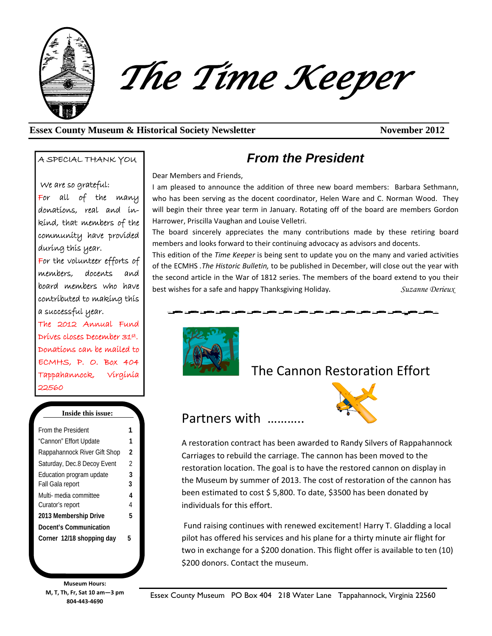

The Time Keeper

#### **Essex County Museum & Historical Society Newsletter November 2012**

A SPECIAL THANK YOU

We are so grateful: For all of the many donations, real and inkind, that members of the community have provided during this year. For the volunteer efforts of members, docents and board members who have contributed to making this a successful year.

The 2012 Annual Fund Drives closes December 31st. Donations can be mailed to ECMHS, P. O. Box 404 Tappahannock, Virginia 22560

#### **Inside this issue:**

| From the President           |                |
|------------------------------|----------------|
| "Cannon" Effort Update       | 1              |
| Rappahannock River Gift Shop | 2              |
| Saturday, Dec.8 Decoy Event  | $\mathfrak{D}$ |
| Education program update     | 3              |
| Fall Gala report             | 3              |
| Multi- media committee       | 4              |
| Curator's report             | 4              |
| 2013 Membership Drive        | 5              |
| Docent's Communication       |                |
| Corner 12/18 shopping day    | 5              |

**Museum Hours: M, T, Th, Fr, Sat 10 am—3 pm 804-443-4690** 

### *From the President*

Dear Members and Friends,

I am pleased to announce the addition of three new board members: Barbara Sethmann, who has been serving as the docent coordinator, Helen Ware and C. Norman Wood. They will begin their three year term in January. Rotating off of the board are members Gordon Harrower, Priscilla Vaughan and Louise Velletri.

The board sincerely appreciates the many contributions made by these retiring board members and looks forward to their continuing advocacy as advisors and docents.

This edition of the *Time Keeper* is being sent to update you on the many and varied activities of the ECMHS *.The Historic Bulletin,* to be published in December, will close out the year with the second article in the War of 1812 series. The members of the board extend to you their best wishes for a safe and happy Thanksgiving Holiday. *Suzanne Derieux* 



Partners with ………..

## The Cannon Restoration Effort



A restoration contract has been awarded to Randy Silvers of Rappahannock Carriages to rebuild the carriage. The cannon has been moved to the restoration location. The goal is to have the restored cannon on display in the Museum by summer of 2013. The cost of restoration of the cannon has been estimated to cost \$ 5,800. To date, \$3500 has been donated by individuals for this effort.

 Fund raising continues with renewed excitement! Harry T. Gladding a local pilot has offered his services and his plane for a thirty minute air flight for two in exchange for a \$200 donation. This flight offer is available to ten (10) \$200 donors. Contact the museum.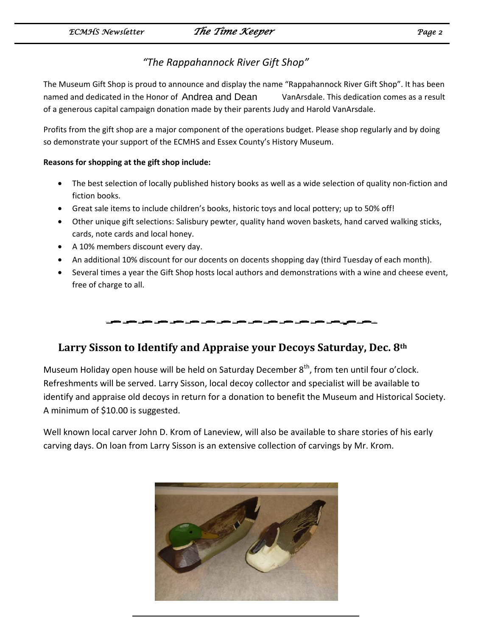### *"The Rappahannock River Gift Shop"*

The Museum Gift Shop is proud to announce and display the name "Rappahannock River Gift Shop". It has been named and dedicated in the Honor of Andrea and Dean VanArsdale. This dedication comes as a result of a generous capital campaign donation made by their parents Judy and Harold VanArsdale.

Profits from the gift shop are a major component of the operations budget. Please shop regularly and by doing so demonstrate your support of the ECMHS and Essex County's History Museum.

#### **Reasons for shopping at the gift shop include:**

- The best selection of locally published history books as well as a wide selection of quality non-fiction and fiction books.
- Great sale items to include children's books, historic toys and local pottery; up to 50% off!
- Other unique gift selections: Salisbury pewter, quality hand woven baskets, hand carved walking sticks, cards, note cards and local honey.
- A 10% members discount every day.
- An additional 10% discount for our docents on docents shopping day (third Tuesday of each month).
- Several times a year the Gift Shop hosts local authors and demonstrations with a wine and cheese event, free of charge to all.



### **Larry Sisson to Identify and Appraise your Decoys Saturday, Dec. 8th**

Museum Holiday open house will be held on Saturday December 8<sup>th</sup>, from ten until four o'clock. Refreshments will be served. Larry Sisson, local decoy collector and specialist will be available to identify and appraise old decoys in return for a donation to benefit the Museum and Historical Society. A minimum of \$10.00 is suggested.

Well known local carver John D. Krom of Laneview, will also be available to share stories of his early carving days. On loan from Larry Sisson is an extensive collection of carvings by Mr. Krom.

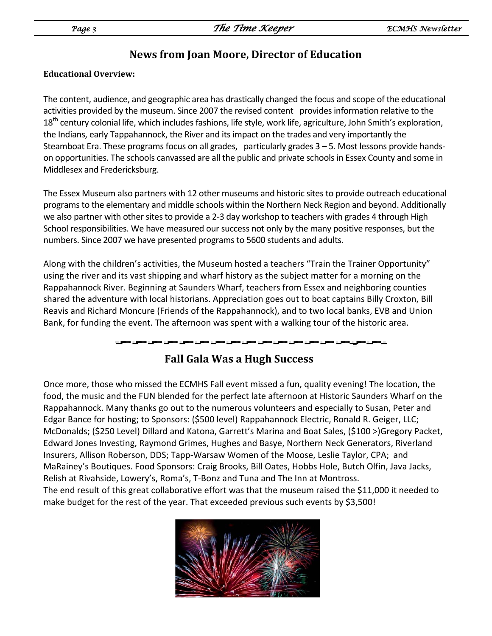j

### **News from Joan Moore, Director of Education**

#### **Educational Overview:**

The content, audience, and geographic area has drastically changed the focus and scope of the educational activities provided by the museum. Since 2007 the revised content provides information relative to the 18<sup>th</sup> century colonial life, which includes fashions, life style, work life, agriculture, John Smith's exploration, the Indians, early Tappahannock, the River and its impact on the trades and very importantly the Steamboat Era. These programs focus on all grades, particularly grades  $3 - 5$ . Most lessons provide handson opportunities. The schools canvassed are all the public and private schools in Essex County and some in Middlesex and Fredericksburg.

The Essex Museum also partners with 12 other museums and historic sites to provide outreach educational programs to the elementary and middle schools within the Northern Neck Region and beyond. Additionally we also partner with other sites to provide a 2-3 day workshop to teachers with grades 4 through High School responsibilities. We have measured our success not only by the many positive responses, but the numbers. Since 2007 we have presented programs to 5600 students and adults.

Along with the children's activities, the Museum hosted a teachers "Train the Trainer Opportunity" using the river and its vast shipping and wharf history as the subject matter for a morning on the Rappahannock River. Beginning at Saunders Wharf, teachers from Essex and neighboring counties shared the adventure with local historians. Appreciation goes out to boat captains Billy Croxton, Bill Reavis and Richard Moncure (Friends of the Rappahannock), and to two local banks, EVB and Union Bank, for funding the event. The afternoon was spent with a walking tour of the historic area.

## **Fall Gala Was a Hugh Success**

Once more, those who missed the ECMHS Fall event missed a fun, quality evening! The location, the food, the music and the FUN blended for the perfect late afternoon at Historic Saunders Wharf on the Rappahannock. Many thanks go out to the numerous volunteers and especially to Susan, Peter and Edgar Bance for hosting; to Sponsors: (\$500 level) Rappahannock Electric, Ronald R. Geiger, LLC; McDonalds; (\$250 Level) Dillard and Katona, Garrett's Marina and Boat Sales, (\$100 >)Gregory Packet, Edward Jones Investing, Raymond Grimes, Hughes and Basye, Northern Neck Generators, Riverland Insurers, Allison Roberson, DDS; Tapp-Warsaw Women of the Moose, Leslie Taylor, CPA; and MaRainey's Boutiques. Food Sponsors: Craig Brooks, Bill Oates, Hobbs Hole, Butch Olfin, Java Jacks, Relish at Rivahside, Lowery's, Roma's, T-Bonz and Tuna and The Inn at Montross. The end result of this great collaborative effort was that the museum raised the \$11,000 it needed to make budget for the rest of the year. That exceeded previous such events by \$3,500!

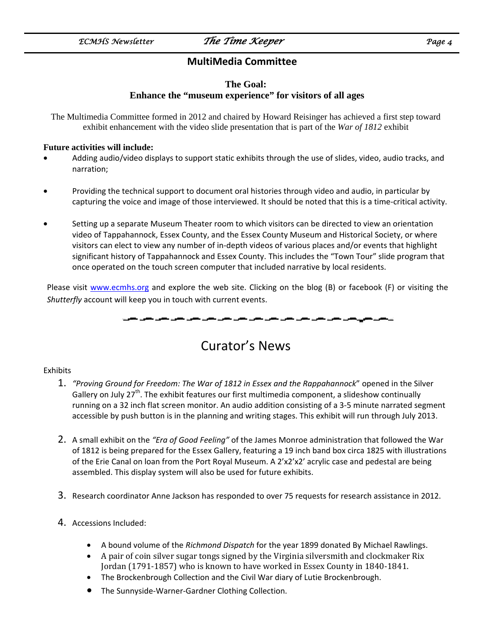### **MultiMedia Committee**

#### **The Goal: Enhance the "museum experience" for visitors of all ages**

The Multimedia Committee formed in 2012 and chaired by Howard Reisinger has achieved a first step toward exhibit enhancement with the video slide presentation that is part of the *War of 1812* exhibit

#### **Future activities will include:**

- Adding audio/video displays to support static exhibits through the use of slides, video, audio tracks, and narration;
- Providing the technical support to document oral histories through video and audio, in particular by capturing the voice and image of those interviewed. It should be noted that this is a time-critical activity.
- Setting up a separate Museum Theater room to which visitors can be directed to view an orientation video of Tappahannock, Essex County, and the Essex County Museum and Historical Society, or where visitors can elect to view any number of in-depth videos of various places and/or events that highlight significant history of Tappahannock and Essex County. This includes the "Town Tour" slide program that once operated on the touch screen computer that included narrative by local residents.

Please visit www.ecmhs.org and explore the web site. Clicking on the blog (B) or facebook (F) or visiting the *Shutterfly* account will keep you in touch with current events.

# Curator's News

#### Exhibits

- 1. *"Proving Ground for Freedom: The War of 1812 in Essex and the Rappahannock*" opened in the Silver Gallery on July 27<sup>th</sup>. The exhibit features our first multimedia component, a slideshow continually running on a 32 inch flat screen monitor. An audio addition consisting of a 3-5 minute narrated segment accessible by push button is in the planning and writing stages. This exhibit will run through July 2013.
- 2. A small exhibit on the *"Era of Good Feeling"* of the James Monroe administration that followed the War of 1812 is being prepared for the Essex Gallery, featuring a 19 inch band box circa 1825 with illustrations of the Erie Canal on loan from the Port Royal Museum. A 2'x2'x2' acrylic case and pedestal are being assembled. This display system will also be used for future exhibits.
- 3. Research coordinator Anne Jackson has responded to over 75 requests for research assistance in 2012.
- 4. Accessions Included:
	- A bound volume of the *Richmond Dispatch* for the year 1899 donated By Michael Rawlings.
	- A pair of coin silver sugar tongs signed by the Virginia silversmith and clockmaker Rix Jordan (1791-1857) who is known to have worked in Essex County in 1840-1841.
	- The Brockenbrough Collection and the Civil War diary of Lutie Brockenbrough.
	- The Sunnyside-Warner-Gardner Clothing Collection.